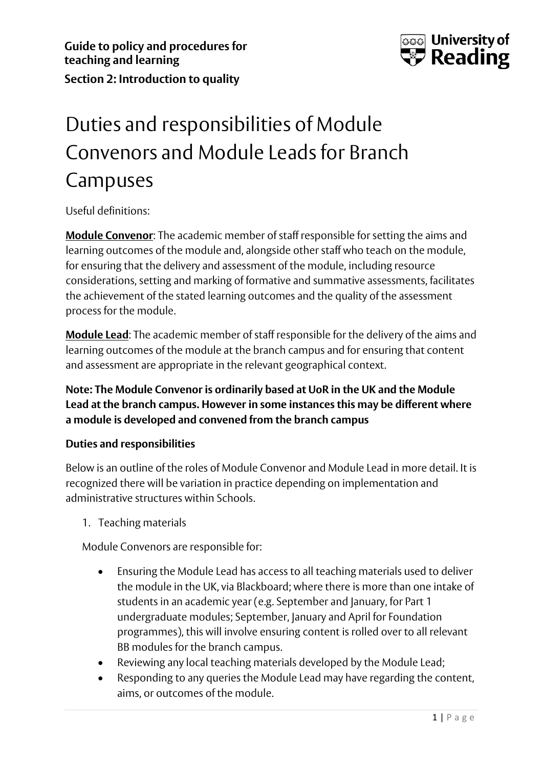

## Duties and responsibilities of Module Convenors and Module Leads for Branch Campuses

Useful definitions:

**Module Convenor**: The academic member of staff responsible for setting the aims and learning outcomes of the module and, alongside other staff who teach on the module, for ensuring that the delivery and assessment of the module, including resource considerations, setting and marking of formative and summative assessments, facilitates the achievement of the stated learning outcomes and the quality of the assessment process for the module.

**Module Lead**: The academic member of staff responsible for the delivery of the aims and learning outcomes of the module at the branch campus and for ensuring that content and assessment are appropriate in the relevant geographical context.

## **Note: The Module Convenor is ordinarily based at UoR in the UK and the Module Lead at the branch campus. However in some instances this may be different where a module is developed and convened from the branch campus**

## **Duties and responsibilities**

Below is an outline of the roles of Module Convenor and Module Lead in more detail. It is recognized there will be variation in practice depending on implementation and administrative structures within Schools.

1. Teaching materials

Module Convenors are responsible for:

- Ensuring the Module Lead has access to all teaching materials used to deliver the module in the UK, via Blackboard; where there is more than one intake of students in an academic year (e.g. September and January, for Part 1 undergraduate modules; September, January and April for Foundation programmes), this will involve ensuring content is rolled over to all relevant BB modules for the branch campus.
- Reviewing any local teaching materials developed by the Module Lead;
- Responding to any queries the Module Lead may have regarding the content, aims, or outcomes of the module.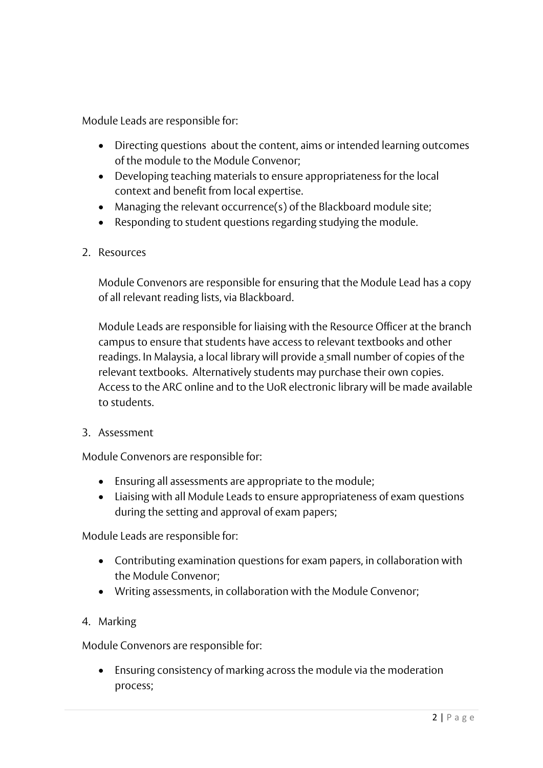Module Leads are responsible for:

- Directing questions about the content, aims or intended learning outcomes of the module to the Module Convenor;
- Developing teaching materials to ensure appropriateness for the local context and benefit from local expertise.
- Managing the relevant occurrence(s) of the Blackboard module site;
- Responding to student questions regarding studying the module.
- 2. Resources

Module Convenors are responsible for ensuring that the Module Lead has a copy of all relevant reading lists, via Blackboard.

Module Leads are responsible for liaising with the Resource Officer at the branch campus to ensure that students have access to relevant textbooks and other readings. In Malaysia, a local library will provide a small number of copies of the relevant textbooks. Alternatively students may purchase their own copies. Access to the ARC online and to the UoR electronic library will be made available to students.

3. Assessment

Module Convenors are responsible for:

- Ensuring all assessments are appropriate to the module;
- Liaising with all Module Leads to ensure appropriateness of exam questions during the setting and approval of exam papers;

Module Leads are responsible for:

- Contributing examination questions for exam papers, in collaboration with the Module Convenor;
- Writing assessments, in collaboration with the Module Convenor;
- 4. Marking

Module Convenors are responsible for:

• Ensuring consistency of marking across the module via the moderation process;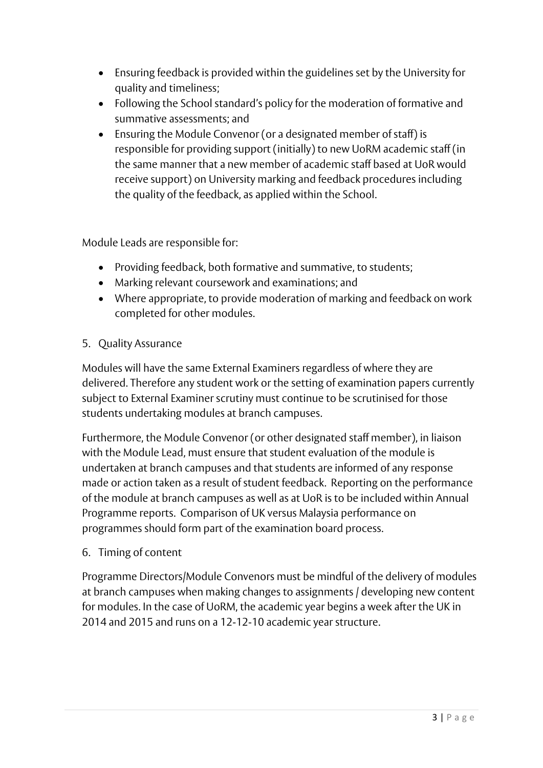- Ensuring feedback is provided within the guidelines set by the University for quality and timeliness;
- Following the School standard's policy for the moderation of formative and summative assessments; and
- Ensuring the Module Convenor (or a designated member of staff) is responsible for providing support (initially) to new UoRM academic staff (in the same manner that a new member of academic staff based at UoR would receive support) on University marking and feedback procedures including the quality of the feedback, as applied within the School.

Module Leads are responsible for:

- Providing feedback, both formative and summative, to students;
- Marking relevant coursework and examinations; and
- Where appropriate, to provide moderation of marking and feedback on work completed for other modules.
- 5. Quality Assurance

Modules will have the same External Examiners regardless of where they are delivered. Therefore any student work or the setting of examination papers currently subject to External Examiner scrutiny must continue to be scrutinised for those students undertaking modules at branch campuses.

Furthermore, the Module Convenor (or other designated staff member), in liaison with the Module Lead, must ensure that student evaluation of the module is undertaken at branch campuses and that students are informed of any response made or action taken as a result of student feedback. Reporting on the performance of the module at branch campuses as well as at UoR is to be included within Annual Programme reports. Comparison of UK versus Malaysia performance on programmes should form part of the examination board process.

6. Timing of content

Programme Directors/Module Convenors must be mindful of the delivery of modules at branch campuses when making changes to assignments / developing new content for modules. In the case of UoRM, the academic year begins a week after the UK in 2014 and 2015 and runs on a 12-12-10 academic year structure.